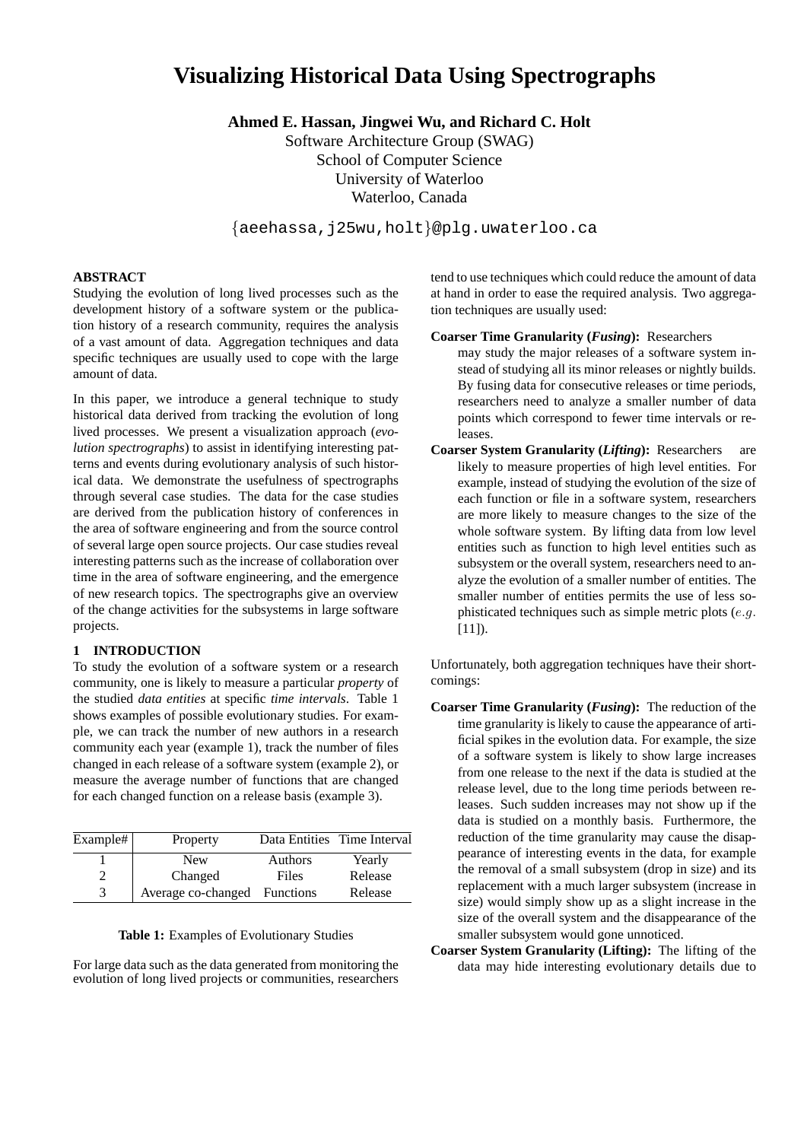# **Visualizing Historical Data Using Spectrographs**

**Ahmed E. Hassan, Jingwei Wu, and Richard C. Holt**

Software Architecture Group (SWAG) School of Computer Science University of Waterloo Waterloo, Canada

{aeehassa,j25wu,holt}@plg.uwaterloo.ca

# **ABSTRACT**

Studying the evolution of long lived processes such as the development history of a software system or the publication history of a research community, requires the analysis of a vast amount of data. Aggregation techniques and data specific techniques are usually used to cope with the large amount of data.

In this paper, we introduce a general technique to study historical data derived from tracking the evolution of long lived processes. We present a visualization approach (*evolution spectrographs*) to assist in identifying interesting patterns and events during evolutionary analysis of such historical data. We demonstrate the usefulness of spectrographs through several case studies. The data for the case studies are derived from the publication history of conferences in the area of software engineering and from the source control of several large open source projects. Our case studies reveal interesting patterns such as the increase of collaboration over time in the area of software engineering, and the emergence of new research topics. The spectrographs give an overview of the change activities for the subsystems in large software projects.

## **1 INTRODUCTION**

To study the evolution of a software system or a research community, one is likely to measure a particular *property* of the studied *data entities* at specific *time intervals*. Table 1 shows examples of possible evolutionary studies. For example, we can track the number of new authors in a research community each year (example 1), track the number of files changed in each release of a software system (example 2), or measure the average number of functions that are changed for each changed function on a release basis (example 3).

| Example# | Property                     |         | Data Entities Time Interval |
|----------|------------------------------|---------|-----------------------------|
|          | <b>New</b>                   | Authors | Yearly                      |
| 2        | Changed                      | Files   | Release                     |
| 3        | Average co-changed Functions |         | Release                     |

# **Table 1:** Examples of Evolutionary Studies

For large data such as the data generated from monitoring the evolution of long lived projects or communities, researchers tend to use techniques which could reduce the amount of data at hand in order to ease the required analysis. Two aggregation techniques are usually used:

- **Coarser Time Granularity (***Fusing***):** Researchers may study the major releases of a software system instead of studying all its minor releases or nightly builds. By fusing data for consecutive releases or time periods, researchers need to analyze a smaller number of data points which correspond to fewer time intervals or releases.
- **Coarser System Granularity (***Lifting***):** Researchers are likely to measure properties of high level entities. For example, instead of studying the evolution of the size of each function or file in a software system, researchers are more likely to measure changes to the size of the whole software system. By lifting data from low level entities such as function to high level entities such as subsystem or the overall system, researchers need to analyze the evolution of a smaller number of entities. The smaller number of entities permits the use of less sophisticated techniques such as simple metric plots (e.g.  $[11]$ ).

Unfortunately, both aggregation techniques have their shortcomings:

- **Coarser Time Granularity (***Fusing***):** The reduction of the time granularity is likely to cause the appearance of artificial spikes in the evolution data. For example, the size of a software system is likely to show large increases from one release to the next if the data is studied at the release level, due to the long time periods between releases. Such sudden increases may not show up if the data is studied on a monthly basis. Furthermore, the reduction of the time granularity may cause the disappearance of interesting events in the data, for example the removal of a small subsystem (drop in size) and its replacement with a much larger subsystem (increase in size) would simply show up as a slight increase in the size of the overall system and the disappearance of the smaller subsystem would gone unnoticed.
- **Coarser System Granularity (Lifting):** The lifting of the data may hide interesting evolutionary details due to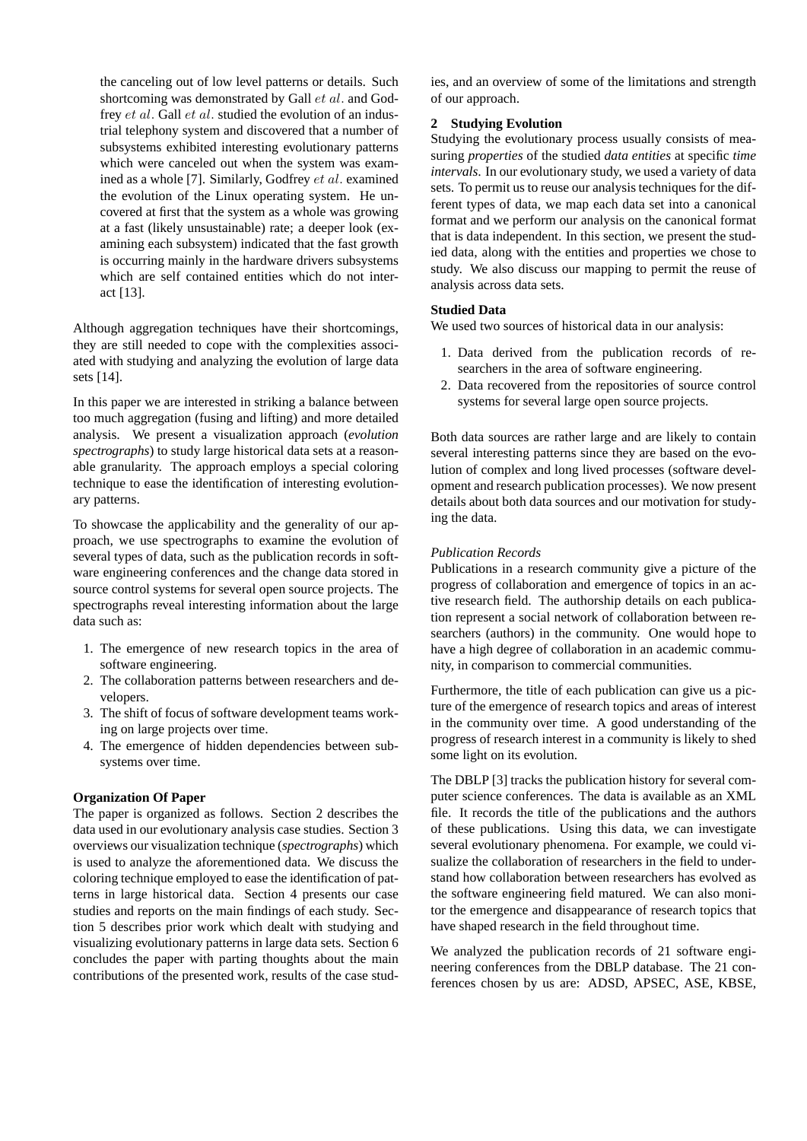the canceling out of low level patterns or details. Such shortcoming was demonstrated by Gall et al. and Godfrey et al. Gall et al. studied the evolution of an industrial telephony system and discovered that a number of subsystems exhibited interesting evolutionary patterns which were canceled out when the system was examined as a whole [7]. Similarly, Godfrey et al. examined the evolution of the Linux operating system. He uncovered at first that the system as a whole was growing at a fast (likely unsustainable) rate; a deeper look (examining each subsystem) indicated that the fast growth is occurring mainly in the hardware drivers subsystems which are self contained entities which do not interact [13].

Although aggregation techniques have their shortcomings, they are still needed to cope with the complexities associated with studying and analyzing the evolution of large data sets [14].

In this paper we are interested in striking a balance between too much aggregation (fusing and lifting) and more detailed analysis. We present a visualization approach (*evolution spectrographs*) to study large historical data sets at a reasonable granularity. The approach employs a special coloring technique to ease the identification of interesting evolutionary patterns.

To showcase the applicability and the generality of our approach, we use spectrographs to examine the evolution of several types of data, such as the publication records in software engineering conferences and the change data stored in source control systems for several open source projects. The spectrographs reveal interesting information about the large data such as:

- 1. The emergence of new research topics in the area of software engineering.
- 2. The collaboration patterns between researchers and developers.
- 3. The shift of focus of software development teams working on large projects over time.
- 4. The emergence of hidden dependencies between subsystems over time.

# **Organization Of Paper**

The paper is organized as follows. Section 2 describes the data used in our evolutionary analysis case studies. Section 3 overviews our visualization technique (*spectrographs*) which is used to analyze the aforementioned data. We discuss the coloring technique employed to ease the identification of patterns in large historical data. Section 4 presents our case studies and reports on the main findings of each study. Section 5 describes prior work which dealt with studying and visualizing evolutionary patterns in large data sets. Section 6 concludes the paper with parting thoughts about the main contributions of the presented work, results of the case studies, and an overview of some of the limitations and strength of our approach.

## **2 Studying Evolution**

Studying the evolutionary process usually consists of measuring *properties* of the studied *data entities* at specific *time intervals*. In our evolutionary study, we used a variety of data sets. To permit us to reuse our analysis techniques for the different types of data, we map each data set into a canonical format and we perform our analysis on the canonical format that is data independent. In this section, we present the studied data, along with the entities and properties we chose to study. We also discuss our mapping to permit the reuse of analysis across data sets.

# **Studied Data**

We used two sources of historical data in our analysis:

- 1. Data derived from the publication records of researchers in the area of software engineering.
- 2. Data recovered from the repositories of source control systems for several large open source projects.

Both data sources are rather large and are likely to contain several interesting patterns since they are based on the evolution of complex and long lived processes (software development and research publication processes). We now present details about both data sources and our motivation for studying the data.

# *Publication Records*

Publications in a research community give a picture of the progress of collaboration and emergence of topics in an active research field. The authorship details on each publication represent a social network of collaboration between researchers (authors) in the community. One would hope to have a high degree of collaboration in an academic community, in comparison to commercial communities.

Furthermore, the title of each publication can give us a picture of the emergence of research topics and areas of interest in the community over time. A good understanding of the progress of research interest in a community is likely to shed some light on its evolution.

The DBLP [3] tracks the publication history for several computer science conferences. The data is available as an XML file. It records the title of the publications and the authors of these publications. Using this data, we can investigate several evolutionary phenomena. For example, we could visualize the collaboration of researchers in the field to understand how collaboration between researchers has evolved as the software engineering field matured. We can also monitor the emergence and disappearance of research topics that have shaped research in the field throughout time.

We analyzed the publication records of 21 software engineering conferences from the DBLP database. The 21 conferences chosen by us are: ADSD, APSEC, ASE, KBSE,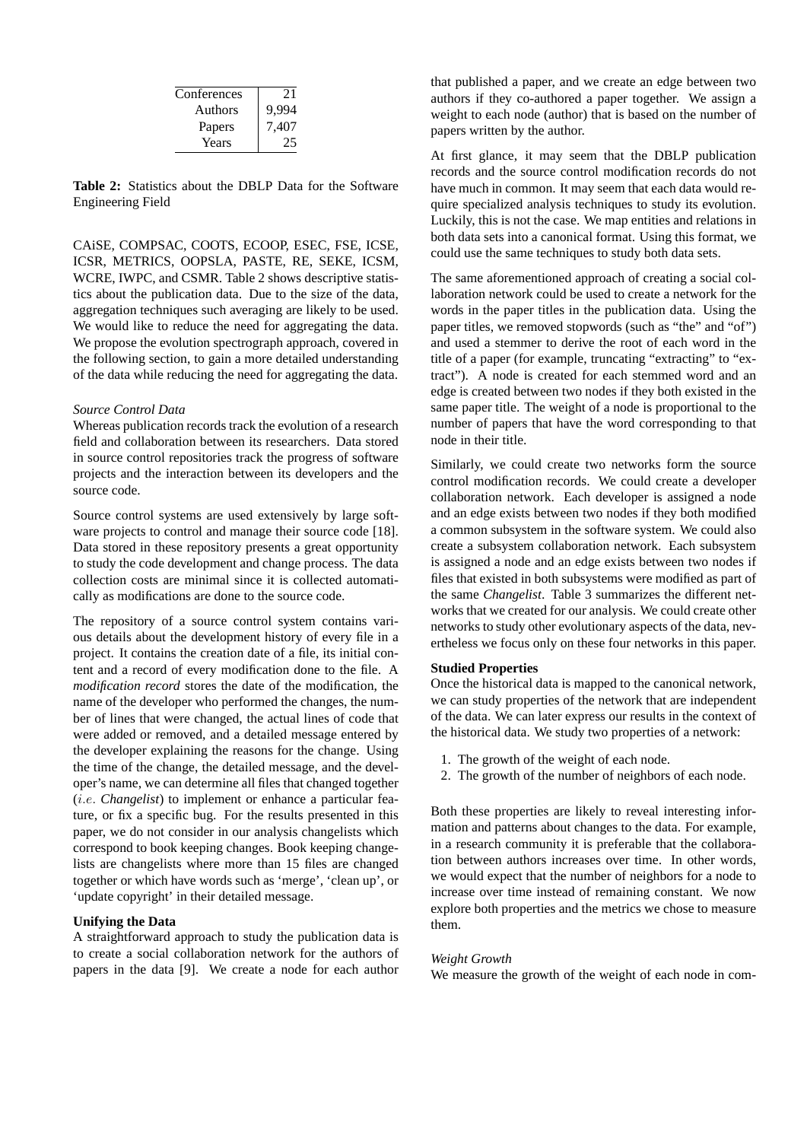| Conferences | 21    |
|-------------|-------|
| Authors     | 9,994 |
| Papers      | 7,407 |
| Years       |       |

**Table 2:** Statistics about the DBLP Data for the Software Engineering Field

CAiSE, COMPSAC, COOTS, ECOOP, ESEC, FSE, ICSE, ICSR, METRICS, OOPSLA, PASTE, RE, SEKE, ICSM, WCRE, IWPC, and CSMR. Table 2 shows descriptive statistics about the publication data. Due to the size of the data, aggregation techniques such averaging are likely to be used. We would like to reduce the need for aggregating the data. We propose the evolution spectrograph approach, covered in the following section, to gain a more detailed understanding of the data while reducing the need for aggregating the data.

## *Source Control Data*

Whereas publication records track the evolution of a research field and collaboration between its researchers. Data stored in source control repositories track the progress of software projects and the interaction between its developers and the source code.

Source control systems are used extensively by large software projects to control and manage their source code [18]. Data stored in these repository presents a great opportunity to study the code development and change process. The data collection costs are minimal since it is collected automatically as modifications are done to the source code.

The repository of a source control system contains various details about the development history of every file in a project. It contains the creation date of a file, its initial content and a record of every modification done to the file. A *modification record* stores the date of the modification, the name of the developer who performed the changes, the number of lines that were changed, the actual lines of code that were added or removed, and a detailed message entered by the developer explaining the reasons for the change. Using the time of the change, the detailed message, and the developer's name, we can determine all files that changed together (i.e. *Changelist*) to implement or enhance a particular feature, or fix a specific bug. For the results presented in this paper, we do not consider in our analysis changelists which correspond to book keeping changes. Book keeping changelists are changelists where more than 15 files are changed together or which have words such as 'merge', 'clean up', or 'update copyright' in their detailed message.

# **Unifying the Data**

A straightforward approach to study the publication data is to create a social collaboration network for the authors of papers in the data [9]. We create a node for each author

that published a paper, and we create an edge between two authors if they co-authored a paper together. We assign a weight to each node (author) that is based on the number of papers written by the author.

At first glance, it may seem that the DBLP publication records and the source control modification records do not have much in common. It may seem that each data would require specialized analysis techniques to study its evolution. Luckily, this is not the case. We map entities and relations in both data sets into a canonical format. Using this format, we could use the same techniques to study both data sets.

The same aforementioned approach of creating a social collaboration network could be used to create a network for the words in the paper titles in the publication data. Using the paper titles, we removed stopwords (such as "the" and "of") and used a stemmer to derive the root of each word in the title of a paper (for example, truncating "extracting" to "extract"). A node is created for each stemmed word and an edge is created between two nodes if they both existed in the same paper title. The weight of a node is proportional to the number of papers that have the word corresponding to that node in their title.

Similarly, we could create two networks form the source control modification records. We could create a developer collaboration network. Each developer is assigned a node and an edge exists between two nodes if they both modified a common subsystem in the software system. We could also create a subsystem collaboration network. Each subsystem is assigned a node and an edge exists between two nodes if files that existed in both subsystems were modified as part of the same *Changelist*. Table 3 summarizes the different networks that we created for our analysis. We could create other networks to study other evolutionary aspects of the data, nevertheless we focus only on these four networks in this paper.

# **Studied Properties**

Once the historical data is mapped to the canonical network, we can study properties of the network that are independent of the data. We can later express our results in the context of the historical data. We study two properties of a network:

- 1. The growth of the weight of each node.
- 2. The growth of the number of neighbors of each node.

Both these properties are likely to reveal interesting information and patterns about changes to the data. For example, in a research community it is preferable that the collaboration between authors increases over time. In other words, we would expect that the number of neighbors for a node to increase over time instead of remaining constant. We now explore both properties and the metrics we chose to measure them.

# *Weight Growth*

We measure the growth of the weight of each node in com-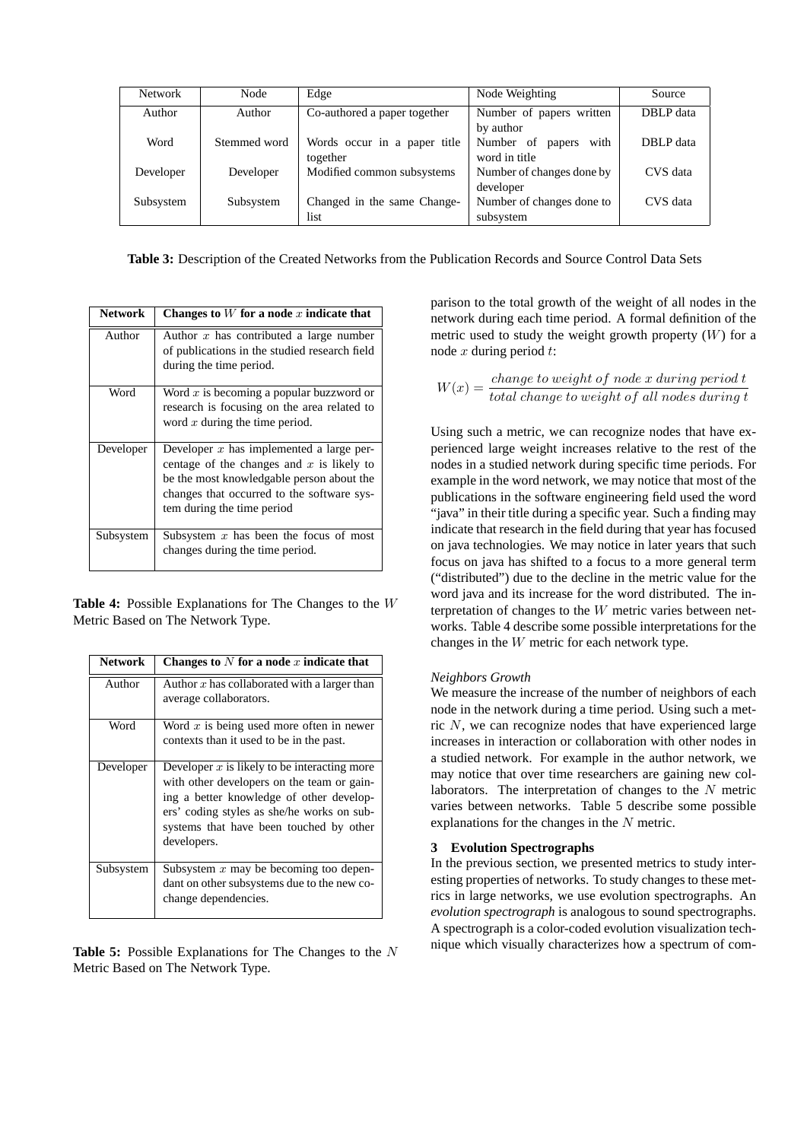| <b>Network</b> | Node         | Edge                         | Node Weighting              | Source    |
|----------------|--------------|------------------------------|-----------------------------|-----------|
| Author         | Author       | Co-authored a paper together | Number of papers written    | DBLP data |
|                |              |                              | by author                   |           |
| Word           | Stemmed word | Words occur in a paper title | Number of<br>with<br>papers | DBLP data |
|                |              | together                     | word in title               |           |
| Developer      | Developer    | Modified common subsystems   | Number of changes done by   | CVS data  |
|                |              |                              | developer                   |           |
| Subsystem      | Subsystem    | Changed in the same Change-  | Number of changes done to   | CVS data  |
|                |              | list                         | subsystem                   |           |

**Table 3:** Description of the Created Networks from the Publication Records and Source Control Data Sets

| <b>Network</b> | Changes to $W$ for a node $x$ indicate that                                                                                                                                                                        |
|----------------|--------------------------------------------------------------------------------------------------------------------------------------------------------------------------------------------------------------------|
| Author         | Author $x$ has contributed a large number<br>of publications in the studied research field<br>during the time period.                                                                                              |
| Word           | Word $\bar{x}$ is becoming a popular buzzword or<br>research is focusing on the area related to<br>word $x$ during the time period.                                                                                |
| Developer      | Developer $x$ has implemented a large per-<br>centage of the changes and $x$ is likely to<br>be the most knowledgable person about the<br>changes that occurred to the software sys-<br>tem during the time period |
| Subsystem      | Subsystem $x$ has been the focus of most<br>changes during the time period.                                                                                                                                        |

**Table 4:** Possible Explanations for The Changes to the W Metric Based on The Network Type.

| <b>Network</b> | Changes to $N$ for a node $x$ indicate that                                                                                                                                                                                                      |
|----------------|--------------------------------------------------------------------------------------------------------------------------------------------------------------------------------------------------------------------------------------------------|
| Author         | Author $x$ has collaborated with a larger than<br>average collaborators.                                                                                                                                                                         |
| Word           | Word $x$ is being used more often in newer<br>contexts than it used to be in the past.                                                                                                                                                           |
| Developer      | Developer $x$ is likely to be interacting more<br>with other developers on the team or gain-<br>ing a better knowledge of other develop-<br>ers' coding styles as she/he works on sub-<br>systems that have been touched by other<br>developers. |
| Subsystem      | Subsystem $x$ may be becoming too depen-<br>dant on other subsystems due to the new co-<br>change dependencies.                                                                                                                                  |

**Table 5:** Possible Explanations for The Changes to the N Metric Based on The Network Type.

parison to the total growth of the weight of all nodes in the network during each time period. A formal definition of the metric used to study the weight growth property  $(W)$  for a node  $x$  during period  $t$ :

$$
W(x) = \frac{change\ to\ weight\ of\ node\ x\ during\ period\ t}{total\ change\ to\ weight\ of\ all\ nodes\ during\ t}
$$

Using such a metric, we can recognize nodes that have experienced large weight increases relative to the rest of the nodes in a studied network during specific time periods. For example in the word network, we may notice that most of the publications in the software engineering field used the word "java" in their title during a specific year. Such a finding may indicate that research in the field during that year has focused on java technologies. We may notice in later years that such focus on java has shifted to a focus to a more general term ("distributed") due to the decline in the metric value for the word java and its increase for the word distributed. The interpretation of changes to the W metric varies between networks. Table 4 describe some possible interpretations for the changes in the W metric for each network type.

# *Neighbors Growth*

We measure the increase of the number of neighbors of each node in the network during a time period. Using such a metric  $N$ , we can recognize nodes that have experienced large increases in interaction or collaboration with other nodes in a studied network. For example in the author network, we may notice that over time researchers are gaining new collaborators. The interpretation of changes to the  $N$  metric varies between networks. Table 5 describe some possible explanations for the changes in the N metric.

# **3 Evolution Spectrographs**

In the previous section, we presented metrics to study interesting properties of networks. To study changes to these metrics in large networks, we use evolution spectrographs. An *evolution spectrograph* is analogous to sound spectrographs. A spectrograph is a color-coded evolution visualization technique which visually characterizes how a spectrum of com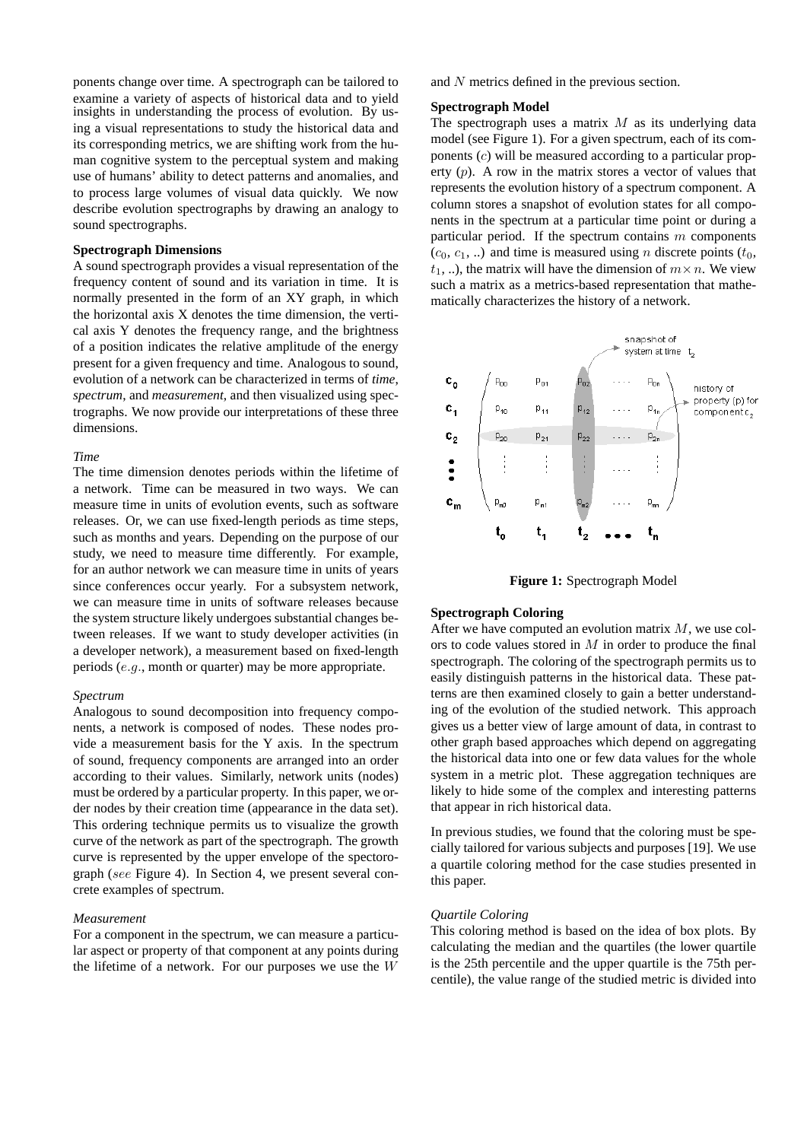ponents change over time. A spectrograph can be tailored to examine a variety of aspects of historical data and to yield insights in understanding the process of evolution. By using a visual representations to study the historical data and its corresponding metrics, we are shifting work from the human cognitive system to the perceptual system and making use of humans' ability to detect patterns and anomalies, and to process large volumes of visual data quickly. We now describe evolution spectrographs by drawing an analogy to sound spectrographs.

## **Spectrograph Dimensions**

A sound spectrograph provides a visual representation of the frequency content of sound and its variation in time. It is normally presented in the form of an XY graph, in which the horizontal axis X denotes the time dimension, the vertical axis Y denotes the frequency range, and the brightness of a position indicates the relative amplitude of the energy present for a given frequency and time. Analogous to sound, evolution of a network can be characterized in terms of *time*, *spectrum*, and *measurement*, and then visualized using spectrographs. We now provide our interpretations of these three dimensions.

#### *Time*

The time dimension denotes periods within the lifetime of a network. Time can be measured in two ways. We can measure time in units of evolution events, such as software releases. Or, we can use fixed-length periods as time steps, such as months and years. Depending on the purpose of our study, we need to measure time differently. For example, for an author network we can measure time in units of years since conferences occur yearly. For a subsystem network, we can measure time in units of software releases because the system structure likely undergoes substantial changes between releases. If we want to study developer activities (in a developer network), a measurement based on fixed-length periods (e.g., month or quarter) may be more appropriate.

#### *Spectrum*

Analogous to sound decomposition into frequency components, a network is composed of nodes. These nodes provide a measurement basis for the Y axis. In the spectrum of sound, frequency components are arranged into an order according to their values. Similarly, network units (nodes) must be ordered by a particular property. In this paper, we order nodes by their creation time (appearance in the data set). This ordering technique permits us to visualize the growth curve of the network as part of the spectrograph. The growth curve is represented by the upper envelope of the spectorograph (see Figure 4). In Section 4, we present several concrete examples of spectrum.

#### *Measurement*

For a component in the spectrum, we can measure a particular aspect or property of that component at any points during the lifetime of a network. For our purposes we use the  $W$ 

and N metrics defined in the previous section.

## **Spectrograph Model**

The spectrograph uses a matrix  $M$  as its underlying data model (see Figure 1). For a given spectrum, each of its components (c) will be measured according to a particular property  $(p)$ . A row in the matrix stores a vector of values that represents the evolution history of a spectrum component. A column stores a snapshot of evolution states for all components in the spectrum at a particular time point or during a particular period. If the spectrum contains  $m$  components  $(c_0, c_1, ...)$  and time is measured using *n* discrete points  $(t_0,$  $t_1, \ldots$ , the matrix will have the dimension of  $m \times n$ . We view such a matrix as a metrics-based representation that mathematically characterizes the history of a network.



**Figure 1:** Spectrograph Model

# **Spectrograph Coloring**

After we have computed an evolution matrix M, we use colors to code values stored in  $M$  in order to produce the final spectrograph. The coloring of the spectrograph permits us to easily distinguish patterns in the historical data. These patterns are then examined closely to gain a better understanding of the evolution of the studied network. This approach gives us a better view of large amount of data, in contrast to other graph based approaches which depend on aggregating the historical data into one or few data values for the whole system in a metric plot. These aggregation techniques are likely to hide some of the complex and interesting patterns that appear in rich historical data.

In previous studies, we found that the coloring must be specially tailored for various subjects and purposes [19]. We use a quartile coloring method for the case studies presented in this paper.

#### *Quartile Coloring*

This coloring method is based on the idea of box plots. By calculating the median and the quartiles (the lower quartile is the 25th percentile and the upper quartile is the 75th percentile), the value range of the studied metric is divided into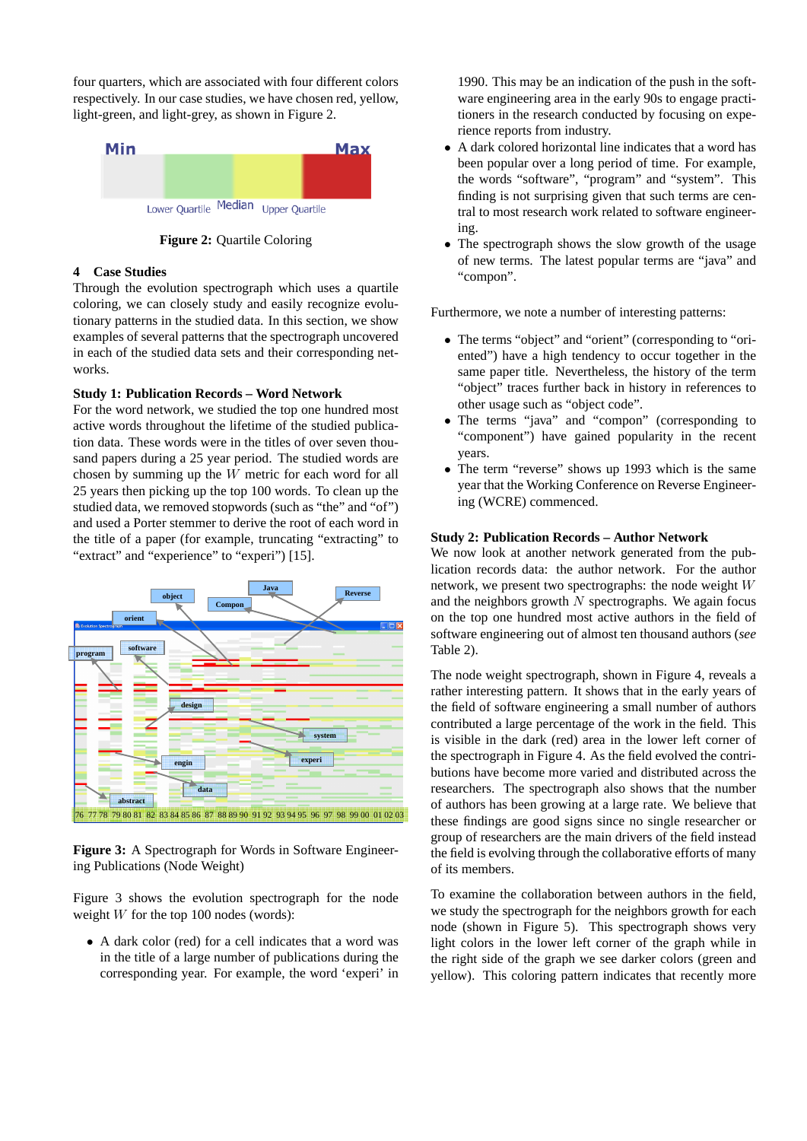four quarters, which are associated with four different colors respectively. In our case studies, we have chosen red, yellow, light-green, and light-grey, as shown in Figure 2.



**Figure 2:** Quartile Coloring

# **4 Case Studies**

Through the evolution spectrograph which uses a quartile coloring, we can closely study and easily recognize evolutionary patterns in the studied data. In this section, we show examples of several patterns that the spectrograph uncovered in each of the studied data sets and their corresponding networks.

# **Study 1: Publication Records – Word Network**

For the word network, we studied the top one hundred most active words throughout the lifetime of the studied publication data. These words were in the titles of over seven thousand papers during a 25 year period. The studied words are chosen by summing up the W metric for each word for all 25 years then picking up the top 100 words. To clean up the studied data, we removed stopwords (such as "the" and "of") and used a Porter stemmer to derive the root of each word in the title of a paper (for example, truncating "extracting" to "extract" and "experience" to "experi") [15].



**Figure 3:** A Spectrograph for Words in Software Engineering Publications (Node Weight)

Figure 3 shows the evolution spectrograph for the node weight  $W$  for the top 100 nodes (words):

• A dark color (red) for a cell indicates that a word was in the title of a large number of publications during the corresponding year. For example, the word 'experi' in 1990. This may be an indication of the push in the software engineering area in the early 90s to engage practitioners in the research conducted by focusing on experience reports from industry.

- A dark colored horizontal line indicates that a word has been popular over a long period of time. For example, the words "software", "program" and "system". This finding is not surprising given that such terms are central to most research work related to software engineering.
- The spectrograph shows the slow growth of the usage of new terms. The latest popular terms are "java" and "compon".

Furthermore, we note a number of interesting patterns:

- The terms "object" and "orient" (corresponding to "oriented") have a high tendency to occur together in the same paper title. Nevertheless, the history of the term "object" traces further back in history in references to other usage such as "object code".
- The terms "java" and "compon" (corresponding to "component") have gained popularity in the recent years.
- The term "reverse" shows up 1993 which is the same year that the Working Conference on Reverse Engineering (WCRE) commenced.

# **Study 2: Publication Records – Author Network**

We now look at another network generated from the publication records data: the author network. For the author network, we present two spectrographs: the node weight W and the neighbors growth  $N$  spectrographs. We again focus on the top one hundred most active authors in the field of software engineering out of almost ten thousand authors (*see* Table 2).

The node weight spectrograph, shown in Figure 4, reveals a rather interesting pattern. It shows that in the early years of the field of software engineering a small number of authors contributed a large percentage of the work in the field. This is visible in the dark (red) area in the lower left corner of the spectrograph in Figure 4. As the field evolved the contributions have become more varied and distributed across the researchers. The spectrograph also shows that the number of authors has been growing at a large rate. We believe that these findings are good signs since no single researcher or group of researchers are the main drivers of the field instead the field is evolving through the collaborative efforts of many of its members.

To examine the collaboration between authors in the field, we study the spectrograph for the neighbors growth for each node (shown in Figure 5). This spectrograph shows very light colors in the lower left corner of the graph while in the right side of the graph we see darker colors (green and yellow). This coloring pattern indicates that recently more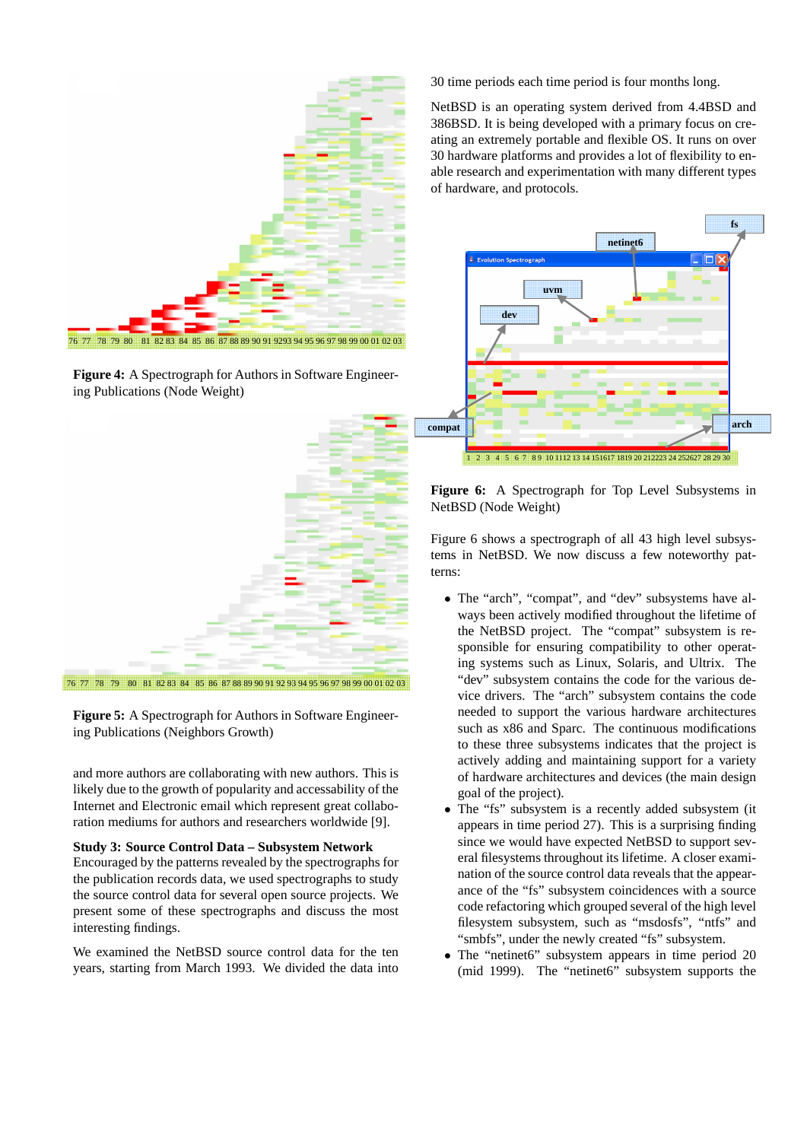

**Figure 4:** A Spectrograph for Authors in Software Engineering Publications (Node Weight)



**Figure 5:** A Spectrograph for Authors in Software Engineering Publications (Neighbors Growth)

and more authors are collaborating with new authors. This is likely due to the growth of popularity and accessability of the Internet and Electronic email which represent great collaboration mediums for authors and researchers worldwide [9].

# **Study 3: Source Control Data – Subsystem Network**

Encouraged by the patterns revealed by the spectrographs for the publication records data, we used spectrographs to study the source control data for several open source projects. We present some of these spectrographs and discuss the most interesting findings.

We examined the NetBSD source control data for the ten years, starting from March 1993. We divided the data into 30 time periods each time period is four months long.

NetBSD is an operating system derived from 4.4BSD and 386BSD. It is being developed with a primary focus on creating an extremely portable and flexible OS. It runs on over 30 hardware platforms and provides a lot of flexibility to enable research and experimentation with many different types of hardware, and protocols.



**Figure 6:** A Spectrograph for Top Level Subsystems in NetBSD (Node Weight)

Figure 6 shows a spectrograph of all 43 high level subsystems in NetBSD. We now discuss a few noteworthy patterns:

- The "arch", "compat", and "dev" subsystems have always been actively modified throughout the lifetime of the NetBSD project. The "compat" subsystem is responsible for ensuring compatibility to other operating systems such as Linux, Solaris, and Ultrix. The "dev" subsystem contains the code for the various device drivers. The "arch" subsystem contains the code needed to support the various hardware architectures such as x86 and Sparc. The continuous modifications to these three subsystems indicates that the project is actively adding and maintaining support for a variety of hardware architectures and devices (the main design goal of the project).
- The "fs" subsystem is a recently added subsystem (it) appears in time period 27). This is a surprising finding since we would have expected NetBSD to support several filesystems throughout its lifetime. A closer examination of the source control data reveals that the appearance of the "fs" subsystem coincidences with a source code refactoring which grouped several of the high level filesystem subsystem, such as "msdosfs", "ntfs" and "smbfs", under the newly created "fs" subsystem.
- The "netinet6" subsystem appears in time period 20 (mid 1999). The "netinet6" subsystem supports the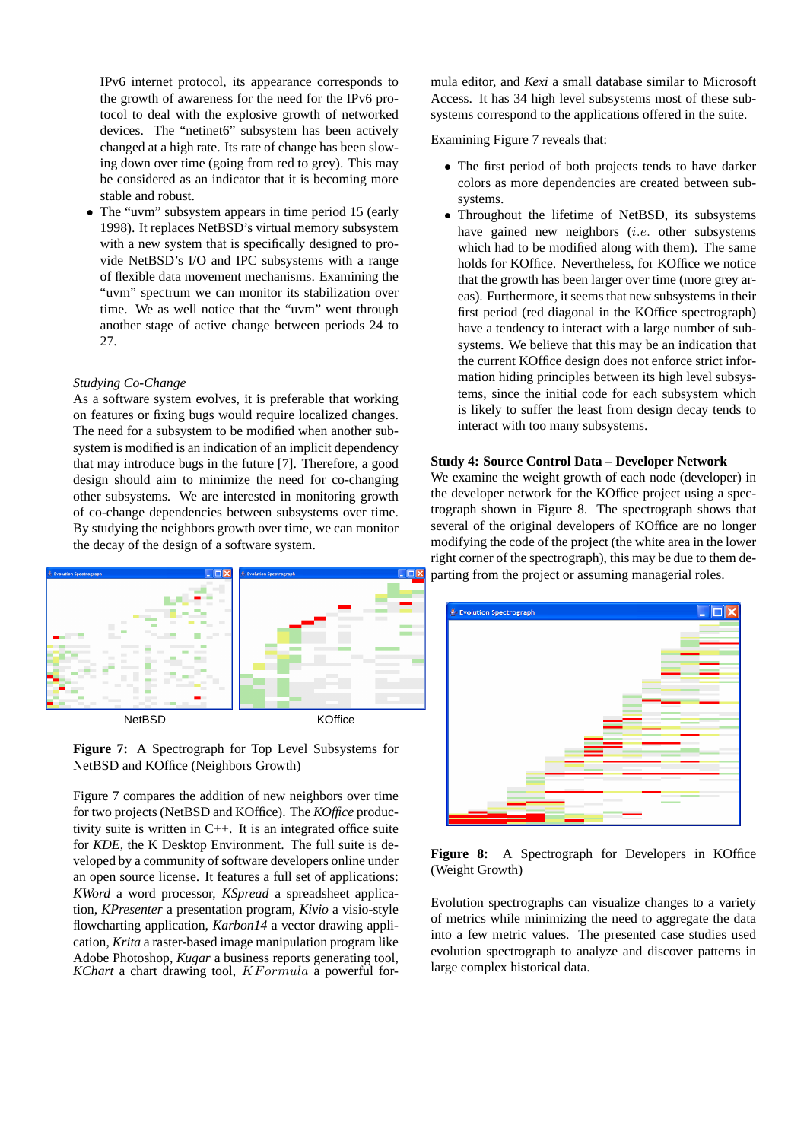IPv6 internet protocol, its appearance corresponds to the growth of awareness for the need for the IPv6 protocol to deal with the explosive growth of networked devices. The "netinet6" subsystem has been actively changed at a high rate. Its rate of change has been slowing down over time (going from red to grey). This may be considered as an indicator that it is becoming more stable and robust.

The "uvm" subsystem appears in time period 15 (early 1998). It replaces NetBSD's virtual memory subsystem with a new system that is specifically designed to provide NetBSD's I/O and IPC subsystems with a range of flexible data movement mechanisms. Examining the "uvm" spectrum we can monitor its stabilization over time. We as well notice that the "uvm" went through another stage of active change between periods 24 to 27.

#### *Studying Co-Change*

As a software system evolves, it is preferable that working on features or fixing bugs would require localized changes. The need for a subsystem to be modified when another subsystem is modified is an indication of an implicit dependency that may introduce bugs in the future [7]. Therefore, a good design should aim to minimize the need for co-changing other subsystems. We are interested in monitoring growth of co-change dependencies between subsystems over time. By studying the neighbors growth over time, we can monitor the decay of the design of a software system.



**Figure 7:** A Spectrograph for Top Level Subsystems for NetBSD and KOffice (Neighbors Growth)

Figure 7 compares the addition of new neighbors over time for two projects (NetBSD and KOffice). The *KOffice* productivity suite is written in C++. It is an integrated office suite for *KDE*, the K Desktop Environment. The full suite is developed by a community of software developers online under an open source license. It features a full set of applications: *KWord* a word processor, *KSpread* a spreadsheet application, *KPresenter* a presentation program, *Kivio* a visio-style flowcharting application, *Karbon14* a vector drawing application, *Krita* a raster-based image manipulation program like Adobe Photoshop, *Kugar* a business reports generating tool, *KChart* a chart drawing tool, *KF or mula* a powerful formula editor, and *Kexi* a small database similar to Microsoft Access. It has 34 high level subsystems most of these subsystems correspond to the applications offered in the suite.

Examining Figure 7 reveals that:

- The first period of both projects tends to have darker colors as more dependencies are created between subsystems.
- Throughout the lifetime of NetBSD, its subsystems have gained new neighbors *(i.e.* other subsystems which had to be modified along with them). The same holds for KOffice. Nevertheless, for KOffice we notice that the growth has been larger over time (more grey areas). Furthermore, it seems that new subsystems in their first period (red diagonal in the KOffice spectrograph) have a tendency to interact with a large number of subsystems. We believe that this may be an indication that the current KOffice design does not enforce strict information hiding principles between its high level subsystems, since the initial code for each subsystem which is likely to suffer the least from design decay tends to interact with too many subsystems.

#### **Study 4: Source Control Data – Developer Network**

We examine the weight growth of each node (developer) in the developer network for the KOffice project using a spectrograph shown in Figure 8. The spectrograph shows that several of the original developers of KOffice are no longer modifying the code of the project (the white area in the lower right corner of the spectrograph), this may be due to them departing from the project or assuming managerial roles.



**Figure 8:** A Spectrograph for Developers in KOffice (Weight Growth)

Evolution spectrographs can visualize changes to a variety of metrics while minimizing the need to aggregate the data into a few metric values. The presented case studies used evolution spectrograph to analyze and discover patterns in large complex historical data.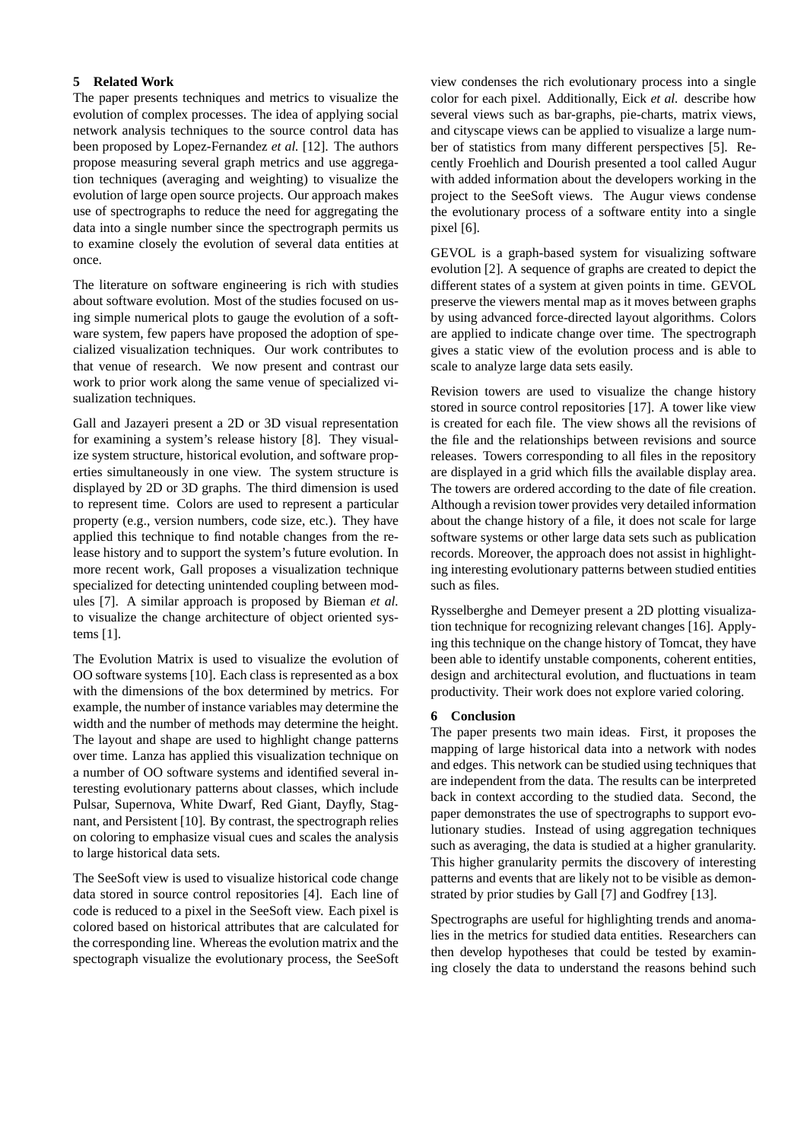# **5 Related Work**

The paper presents techniques and metrics to visualize the evolution of complex processes. The idea of applying social network analysis techniques to the source control data has been proposed by Lopez-Fernandez *et al.* [12]. The authors propose measuring several graph metrics and use aggregation techniques (averaging and weighting) to visualize the evolution of large open source projects. Our approach makes use of spectrographs to reduce the need for aggregating the data into a single number since the spectrograph permits us to examine closely the evolution of several data entities at once.

The literature on software engineering is rich with studies about software evolution. Most of the studies focused on using simple numerical plots to gauge the evolution of a software system, few papers have proposed the adoption of specialized visualization techniques. Our work contributes to that venue of research. We now present and contrast our work to prior work along the same venue of specialized visualization techniques.

Gall and Jazayeri present a 2D or 3D visual representation for examining a system's release history [8]. They visualize system structure, historical evolution, and software properties simultaneously in one view. The system structure is displayed by 2D or 3D graphs. The third dimension is used to represent time. Colors are used to represent a particular property (e.g., version numbers, code size, etc.). They have applied this technique to find notable changes from the release history and to support the system's future evolution. In more recent work, Gall proposes a visualization technique specialized for detecting unintended coupling between modules [7]. A similar approach is proposed by Bieman *et al.* to visualize the change architecture of object oriented systems [1].

The Evolution Matrix is used to visualize the evolution of OO software systems [10]. Each class is represented as a box with the dimensions of the box determined by metrics. For example, the number of instance variables may determine the width and the number of methods may determine the height. The layout and shape are used to highlight change patterns over time. Lanza has applied this visualization technique on a number of OO software systems and identified several interesting evolutionary patterns about classes, which include Pulsar, Supernova, White Dwarf, Red Giant, Dayfly, Stagnant, and Persistent [10]. By contrast, the spectrograph relies on coloring to emphasize visual cues and scales the analysis to large historical data sets.

The SeeSoft view is used to visualize historical code change data stored in source control repositories [4]. Each line of code is reduced to a pixel in the SeeSoft view. Each pixel is colored based on historical attributes that are calculated for the corresponding line. Whereas the evolution matrix and the spectograph visualize the evolutionary process, the SeeSoft

view condenses the rich evolutionary process into a single color for each pixel. Additionally, Eick *et al.* describe how several views such as bar-graphs, pie-charts, matrix views, and cityscape views can be applied to visualize a large number of statistics from many different perspectives [5]. Recently Froehlich and Dourish presented a tool called Augur with added information about the developers working in the project to the SeeSoft views. The Augur views condense the evolutionary process of a software entity into a single pixel [6].

GEVOL is a graph-based system for visualizing software evolution [2]. A sequence of graphs are created to depict the different states of a system at given points in time. GEVOL preserve the viewers mental map as it moves between graphs by using advanced force-directed layout algorithms. Colors are applied to indicate change over time. The spectrograph gives a static view of the evolution process and is able to scale to analyze large data sets easily.

Revision towers are used to visualize the change history stored in source control repositories [17]. A tower like view is created for each file. The view shows all the revisions of the file and the relationships between revisions and source releases. Towers corresponding to all files in the repository are displayed in a grid which fills the available display area. The towers are ordered according to the date of file creation. Although a revision tower provides very detailed information about the change history of a file, it does not scale for large software systems or other large data sets such as publication records. Moreover, the approach does not assist in highlighting interesting evolutionary patterns between studied entities such as files.

Rysselberghe and Demeyer present a 2D plotting visualization technique for recognizing relevant changes [16]. Applying this technique on the change history of Tomcat, they have been able to identify unstable components, coherent entities, design and architectural evolution, and fluctuations in team productivity. Their work does not explore varied coloring.

# **6 Conclusion**

The paper presents two main ideas. First, it proposes the mapping of large historical data into a network with nodes and edges. This network can be studied using techniques that are independent from the data. The results can be interpreted back in context according to the studied data. Second, the paper demonstrates the use of spectrographs to support evolutionary studies. Instead of using aggregation techniques such as averaging, the data is studied at a higher granularity. This higher granularity permits the discovery of interesting patterns and events that are likely not to be visible as demonstrated by prior studies by Gall [7] and Godfrey [13].

Spectrographs are useful for highlighting trends and anomalies in the metrics for studied data entities. Researchers can then develop hypotheses that could be tested by examining closely the data to understand the reasons behind such